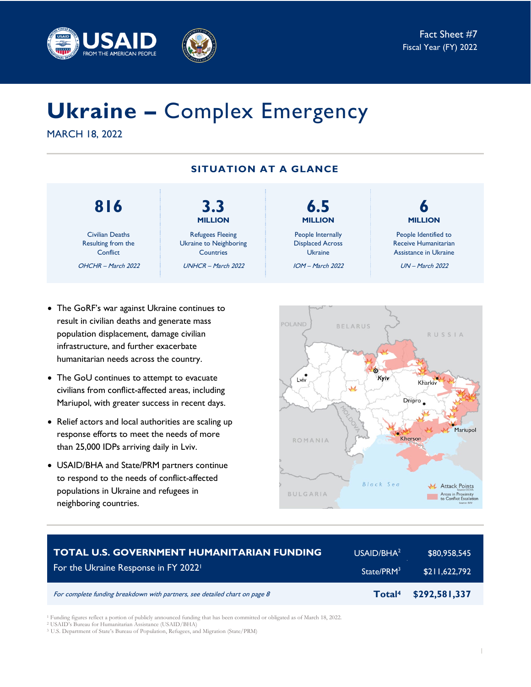



# **Ukraine –** Complex Emergency

MARCH 18, 2022

## **SITUATION AT A GLANCE**

## **816**

Civilian Deaths Resulting from the **Conflict** OHCHR – March 2022

**MILLION** Refugees Fleeing Ukraine to Neighboring **Countries** UNHCR – March 2022

**3.3**

**MILLION** People Internally Displaced Across Ukraine IOM – March 2022

**6.5**

**6 MILLION**

People Identified to Receive Humanitarian Assistance in Ukraine

UN – March 2022

- The GoRF's war against Ukraine continues to result in civilian deaths and generate mass population displacement, damage civilian infrastructure, and further exacerbate humanitarian needs across the country.
- The GoU continues to attempt to evacuate civilians from conflict-affected areas, including Mariupol, with greater success in recent days.
- Relief actors and local authorities are scaling up response efforts to meet the needs of more than 25,000 IDPs arriving daily in Lviv.
- USAID/BHA and State/PRM partners continue to respond to the needs of conflict-affected populations in Ukraine and refugees in neighboring countries.



| <b>TOTAL U.S. GOVERNMENT HUMANITARIAN FUNDING</b>                          | USAID/BHA <sup>2</sup> | \$80,958,545  |
|----------------------------------------------------------------------------|------------------------|---------------|
| For the Ukraine Response in FY 2022                                        | State/PRM <sup>3</sup> | \$211.622.792 |
| For complete funding breakdown with partners, see detailed chart on page 8 | Total <sup>4</sup>     | \$292,581,337 |

<sup>1</sup> Funding figures reflect a portion of publicly announced funding that has been committed or obligated as of March 18, 2022.

<sup>2</sup> USAID's Bureau for Humanitarian Assistance (USAID/BHA)

<sup>3</sup> U.S. Department of State's Bureau of Population, Refugees, and Migration (State/PRM)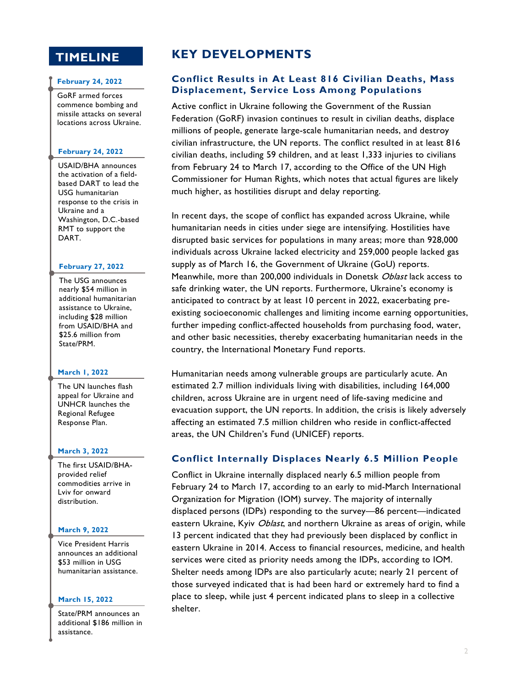## **TIMELINE**

#### **February 24, 2022**

GoRF armed forces commence bombing and missile attacks on several locations across Ukraine.

#### **February 24, 2022**

USAID/BHA announces the activation of a fieldbased DART to lead the USG humanitarian response to the crisis in Ukraine and a Washington, D.C.-based RMT to support the DART.

#### **February 27, 2022**

The USG announces nearly \$54 million in additional humanitarian assistance to Ukraine, including \$28 million from USAID/BHA and \$25.6 million from State/PRM.

#### **March 1, 2022**

The UN launches flash appeal for Ukraine and UNHCR launches the Regional Refugee Response Plan.

#### **March 3, 2022**

The first USAID/BHAprovided relief commodities arrive in Lviv for onward distribution.

#### **March 9, 2022**

Vice President Harris announces an additional \$53 million in USG humanitarian assistance.

#### **March 15, 2022**

State/PRM announces an additional \$186 million in assistance.

## **KEY DEVELOPMENTS**

### **Conflict Results in At Least 816 Civilian Deaths, Mass Displacement, Service Loss Among Populations**

Active conflict in Ukraine following the Government of the Russian Federation (GoRF) invasion continues to result in civilian deaths, displace millions of people, generate large-scale humanitarian needs, and destroy civilian infrastructure, the UN reports. The conflict resulted in at least 816 civilian deaths, including 59 children, and at least 1,333 injuries to civilians from February 24 to March 17, according to the Office of the UN High Commissioner for Human Rights, which notes that actual figures are likely much higher, as hostilities disrupt and delay reporting.

In recent days, the scope of conflict has expanded across Ukraine, while humanitarian needs in cities under siege are intensifying. Hostilities have disrupted basic services for populations in many areas; more than 928,000 individuals across Ukraine lacked electricity and 259,000 people lacked gas supply as of March 16, the Government of Ukraine (GoU) reports. Meanwhile, more than 200,000 individuals in Donetsk Oblast lack access to safe drinking water, the UN reports. Furthermore, Ukraine's economy is anticipated to contract by at least 10 percent in 2022, exacerbating preexisting socioeconomic challenges and limiting income earning opportunities, further impeding conflict-affected households from purchasing food, water, and other basic necessities, thereby exacerbating humanitarian needs in the country, the International Monetary Fund reports.

Humanitarian needs among vulnerable groups are particularly acute. An estimated 2.7 million individuals living with disabilities, including 164,000 children, across Ukraine are in urgent need of life-saving medicine and evacuation support, the UN reports. In addition, the crisis is likely adversely affecting an estimated 7.5 million children who reside in conflict-affected areas, the UN Children's Fund (UNICEF) reports.

#### **Conflict Internally Displaces Nearly 6.5 Million People**

Conflict in Ukraine internally displaced nearly 6.5 million people from February 24 to March 17, according to an early to mid-March International Organization for Migration (IOM) survey. The majority of internally displaced persons (IDPs) responding to the survey—86 percent—indicated eastern Ukraine, Kyiv Oblast, and northern Ukraine as areas of origin, while 13 percent indicated that they had previously been displaced by conflict in eastern Ukraine in 2014. Access to financial resources, medicine, and health services were cited as priority needs among the IDPs, according to IOM. Shelter needs among IDPs are also particularly acute; nearly 21 percent of those surveyed indicated that is had been hard or extremely hard to find a place to sleep, while just 4 percent indicated plans to sleep in a collective shelter.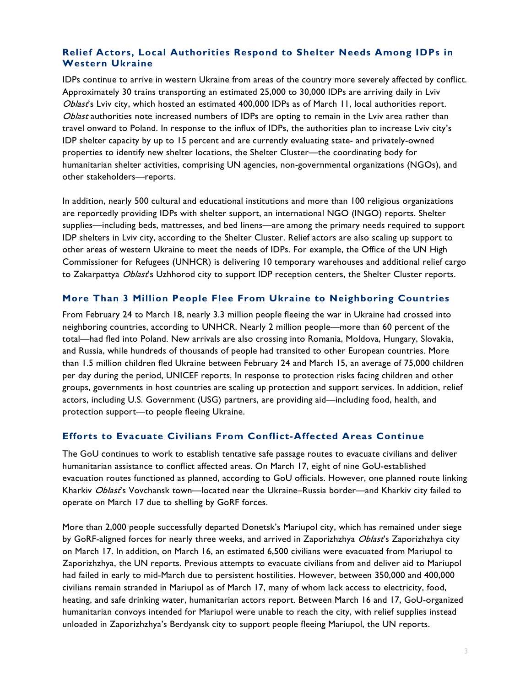## **Relief Actors, Local Authorities Respond to Shelter Needs Among IDPs in Western Ukraine**

IDPs continue to arrive in western Ukraine from areas of the country more severely affected by conflict. Approximately 30 trains transporting an estimated 25,000 to 30,000 IDPs are arriving daily in Lviv Oblast's Lviv city, which hosted an estimated 400,000 IDPs as of March 11, local authorities report. Oblast authorities note increased numbers of IDPs are opting to remain in the Lviv area rather than travel onward to Poland. In response to the influx of IDPs, the authorities plan to increase Lviv city's IDP shelter capacity by up to 15 percent and are currently evaluating state- and privately-owned properties to identify new shelter locations, the Shelter Cluster—the coordinating body for humanitarian shelter activities, comprising UN agencies, non-governmental organizations (NGOs), and other stakeholders—reports.

In addition, nearly 500 cultural and educational institutions and more than 100 religious organizations are reportedly providing IDPs with shelter support, an international NGO (INGO) reports. Shelter supplies—including beds, mattresses, and bed linens—are among the primary needs required to support IDP shelters in Lviv city, according to the Shelter Cluster. Relief actors are also scaling up support to other areas of western Ukraine to meet the needs of IDPs. For example, the Office of the UN High Commissioner for Refugees (UNHCR) is delivering 10 temporary warehouses and additional relief cargo to Zakarpattya Oblast's Uzhhorod city to support IDP reception centers, the Shelter Cluster reports.

### **More Than 3 Million People Flee From Ukraine to Neighboring Countries**

From February 24 to March 18, nearly 3.3 million people fleeing the war in Ukraine had crossed into neighboring countries, according to UNHCR. Nearly 2 million people—more than 60 percent of the total—had fled into Poland. New arrivals are also crossing into Romania, Moldova, Hungary, Slovakia, and Russia, while hundreds of thousands of people had transited to other European countries. More than 1.5 million children fled Ukraine between February 24 and March 15, an average of 75,000 children per day during the period, UNICEF reports. In response to protection risks facing children and other groups, governments in host countries are scaling up protection and support services. In addition, relief actors, including U.S. Government (USG) partners, are providing aid—including food, health, and protection support—to people fleeing Ukraine.

## **Efforts to Evacuate Civilians From Conflict-Affected Areas Continue**

The GoU continues to work to establish tentative safe passage routes to evacuate civilians and deliver humanitarian assistance to conflict affected areas. On March 17, eight of nine GoU-established evacuation routes functioned as planned, according to GoU officials. However, one planned route linking Kharkiv Oblast's Vovchansk town—located near the Ukraine–Russia border—and Kharkiv city failed to operate on March 17 due to shelling by GoRF forces.

More than 2,000 people successfully departed Donetsk's Mariupol city, which has remained under siege by GoRF-aligned forces for nearly three weeks, and arrived in Zaporizhzhya Oblast's Zaporizhzhya city on March 17. In addition, on March 16, an estimated 6,500 civilians were evacuated from Mariupol to Zaporizhzhya, the UN reports. Previous attempts to evacuate civilians from and deliver aid to Mariupol had failed in early to mid-March due to persistent hostilities. However, between 350,000 and 400,000 civilians remain stranded in Mariupol as of March 17, many of whom lack access to electricity, food, heating, and safe drinking water, humanitarian actors report. Between March 16 and 17, GoU-organized humanitarian convoys intended for Mariupol were unable to reach the city, with relief supplies instead unloaded in Zaporizhzhya's Berdyansk city to support people fleeing Mariupol, the UN reports.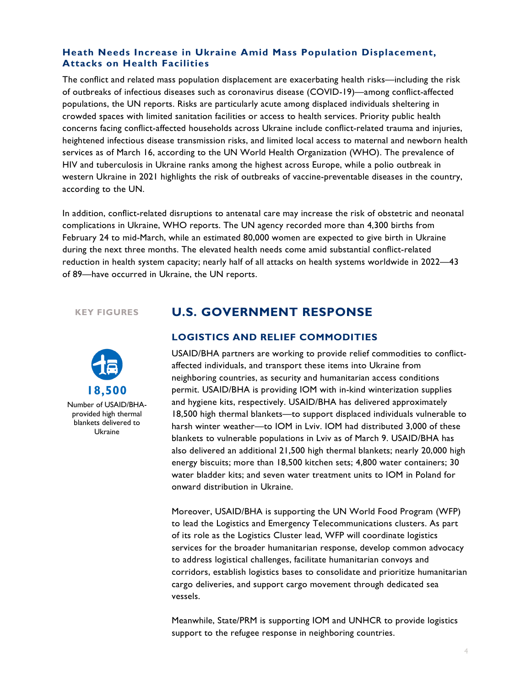#### **Heath Needs Increase in Ukraine Amid Mass Population Displacement, Attacks on Health Facilities**

The conflict and related mass population displacement are exacerbating health risks—including the risk of outbreaks of infectious diseases such as coronavirus disease (COVID-19)—among conflict-affected populations, the UN reports. Risks are particularly acute among displaced individuals sheltering in crowded spaces with limited sanitation facilities or access to health services. Priority public health concerns facing conflict-affected households across Ukraine include conflict-related trauma and injuries, heightened infectious disease transmission risks, and limited local access to maternal and newborn health services as of March 16, according to the UN World Health Organization (WHO). The prevalence of HIV and tuberculosis in Ukraine ranks among the highest across Europe, while a polio outbreak in western Ukraine in 2021 highlights the risk of outbreaks of vaccine-preventable diseases in the country, according to the UN.

In addition, conflict-related disruptions to antenatal care may increase the risk of obstetric and neonatal complications in Ukraine, WHO reports. The UN agency recorded more than 4,300 births from February 24 to mid-March, while an estimated 80,000 women are expected to give birth in Ukraine during the next three months. The elevated health needs come amid substantial conflict-related reduction in health system capacity; nearly half of all attacks on health systems worldwide in 2022—43 of 89—have occurred in Ukraine, the UN reports.

#### **KEY FIGURES**



Number of USAID/BHAprovided high thermal blankets delivered to Ukraine

## **U.S. GOVERNMENT RESPONSE**

#### **LOGISTICS AND RELIEF COMMODITIES**

USAID/BHA partners are working to provide relief commodities to conflictaffected individuals, and transport these items into Ukraine from neighboring countries, as security and humanitarian access conditions permit. USAID/BHA is providing IOM with in-kind winterization supplies and hygiene kits, respectively. USAID/BHA has delivered approximately 18,500 high thermal blankets—to support displaced individuals vulnerable to harsh winter weather—to IOM in Lviv. IOM had distributed 3,000 of these blankets to vulnerable populations in Lviv as of March 9. USAID/BHA has also delivered an additional 21,500 high thermal blankets; nearly 20,000 high energy biscuits; more than 18,500 kitchen sets; 4,800 water containers; 30 water bladder kits; and seven water treatment units to IOM in Poland for onward distribution in Ukraine.

Moreover, USAID/BHA is supporting the UN World Food Program (WFP) to lead the Logistics and Emergency Telecommunications clusters. As part of its role as the Logistics Cluster lead, WFP will coordinate logistics services for the broader humanitarian response, develop common advocacy to address logistical challenges, facilitate humanitarian convoys and corridors, establish logistics bases to consolidate and prioritize humanitarian cargo deliveries, and support cargo movement through dedicated sea vessels.

Meanwhile, State/PRM is supporting IOM and UNHCR to provide logistics support to the refugee response in neighboring countries.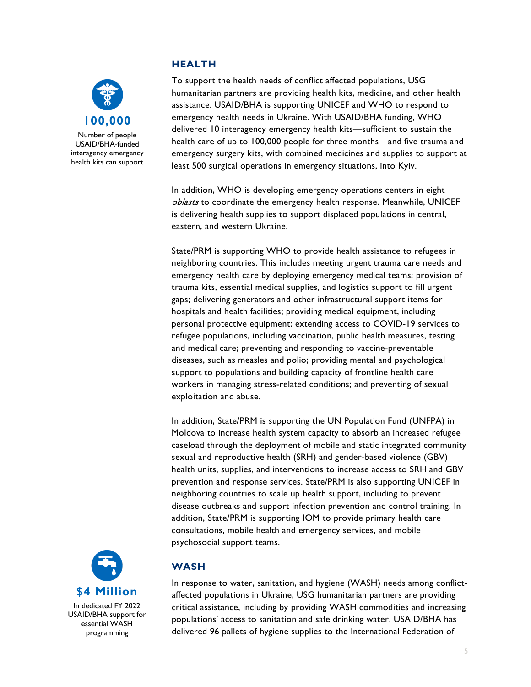

USAID/BHA-funded interagency emergency health kits can support

## **HEALTH**

To support the health needs of conflict affected populations, USG humanitarian partners are providing health kits, medicine, and other health assistance. USAID/BHA is supporting UNICEF and WHO to respond to emergency health needs in Ukraine. With USAID/BHA funding, WHO delivered 10 interagency emergency health kits—sufficient to sustain the health care of up to 100,000 people for three months—and five trauma and emergency surgery kits, with combined medicines and supplies to support at least 500 surgical operations in emergency situations, into Kyiv.

In addition, WHO is developing emergency operations centers in eight oblasts to coordinate the emergency health response. Meanwhile, UNICEF is delivering health supplies to support displaced populations in central, eastern, and western Ukraine.

State/PRM is supporting WHO to provide health assistance to refugees in neighboring countries. This includes meeting urgent trauma care needs and emergency health care by deploying emergency medical teams; provision of trauma kits, essential medical supplies, and logistics support to fill urgent gaps; delivering generators and other infrastructural support items for hospitals and health facilities; providing medical equipment, including personal protective equipment; extending access to COVID-19 services to refugee populations, including vaccination, public health measures, testing and medical care; preventing and responding to vaccine-preventable diseases, such as measles and polio; providing mental and psychological support to populations and building capacity of frontline health care workers in managing stress-related conditions; and preventing of sexual exploitation and abuse.

In addition, State/PRM is supporting the UN Population Fund (UNFPA) in Moldova to increase health system capacity to absorb an increased refugee caseload through the deployment of mobile and static integrated community sexual and reproductive health (SRH) and gender-based violence (GBV) health units, supplies, and interventions to increase access to SRH and GBV prevention and response services. State/PRM is also supporting UNICEF in neighboring countries to scale up health support, including to prevent disease outbreaks and support infection prevention and control training. In addition, State/PRM is supporting IOM to provide primary health care consultations, mobile health and emergency services, and mobile psychosocial support teams.



In dedicated FY 2022 USAID/BHA support for essential WASH programming

## **WASH**

In response to water, sanitation, and hygiene (WASH) needs among conflictaffected populations in Ukraine, USG humanitarian partners are providing critical assistance, including by providing WASH commodities and increasing populations' access to sanitation and safe drinking water. USAID/BHA has delivered 96 pallets of hygiene supplies to the International Federation of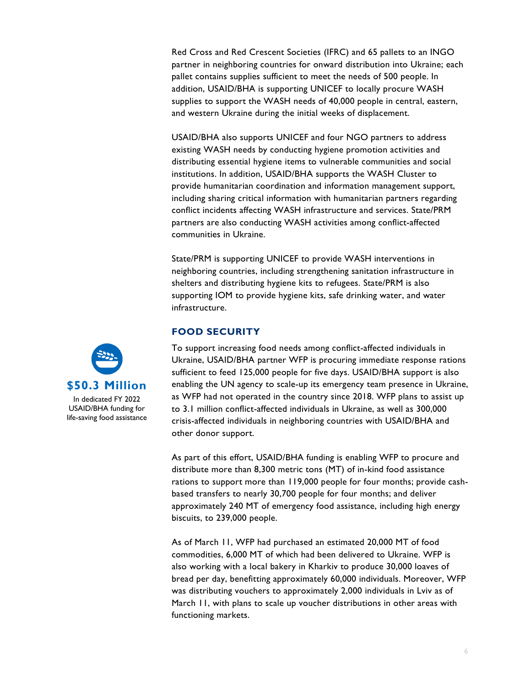Red Cross and Red Crescent Societies (IFRC) and 65 pallets to an INGO partner in neighboring countries for onward distribution into Ukraine; each pallet contains supplies sufficient to meet the needs of 500 people. In addition, USAID/BHA is supporting UNICEF to locally procure WASH supplies to support the WASH needs of 40,000 people in central, eastern, and western Ukraine during the initial weeks of displacement.

USAID/BHA also supports UNICEF and four NGO partners to address existing WASH needs by conducting hygiene promotion activities and distributing essential hygiene items to vulnerable communities and social institutions. In addition, USAID/BHA supports the WASH Cluster to provide humanitarian coordination and information management support, including sharing critical information with humanitarian partners regarding conflict incidents affecting WASH infrastructure and services. State/PRM partners are also conducting WASH activities among conflict-affected communities in Ukraine.

State/PRM is supporting UNICEF to provide WASH interventions in neighboring countries, including strengthening sanitation infrastructure in shelters and distributing hygiene kits to refugees. State/PRM is also supporting IOM to provide hygiene kits, safe drinking water, and water infrastructure.

#### **FOOD SECURITY**

To support increasing food needs among conflict-affected individuals in Ukraine, USAID/BHA partner WFP is procuring immediate response rations sufficient to feed 125,000 people for five days. USAID/BHA support is also enabling the UN agency to scale-up its emergency team presence in Ukraine, as WFP had not operated in the country since 2018. WFP plans to assist up to 3.1 million conflict-affected individuals in Ukraine, as well as 300,000 crisis-affected individuals in neighboring countries with USAID/BHA and other donor support.

As part of this effort, USAID/BHA funding is enabling WFP to procure and distribute more than 8,300 metric tons (MT) of in-kind food assistance rations to support more than 119,000 people for four months; provide cashbased transfers to nearly 30,700 people for four months; and deliver approximately 240 MT of emergency food assistance, including high energy biscuits, to 239,000 people.

As of March 11, WFP had purchased an estimated 20,000 MT of food commodities, 6,000 MT of which had been delivered to Ukraine. WFP is also working with a local bakery in Kharkiv to produce 30,000 loaves of bread per day, benefitting approximately 60,000 individuals. Moreover, WFP was distributing vouchers to approximately 2,000 individuals in Lviv as of March 11, with plans to scale up voucher distributions in other areas with functioning markets.



In dedicated FY 2022 USAID/BHA funding for life-saving food assistance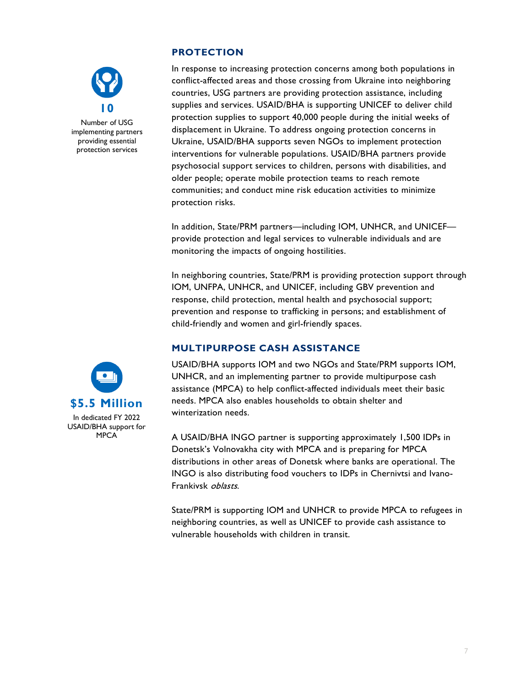

Number of USG implementing partners providing essential protection services

## **PROTECTION**

In response to increasing protection concerns among both populations in conflict-affected areas and those crossing from Ukraine into neighboring countries, USG partners are providing protection assistance, including supplies and services. USAID/BHA is supporting UNICEF to deliver child protection supplies to support 40,000 people during the initial weeks of displacement in Ukraine. To address ongoing protection concerns in Ukraine, USAID/BHA supports seven NGOs to implement protection interventions for vulnerable populations. USAID/BHA partners provide psychosocial support services to children, persons with disabilities, and older people; operate mobile protection teams to reach remote communities; and conduct mine risk education activities to minimize protection risks.

In addition, State/PRM partners—including IOM, UNHCR, and UNICEF provide protection and legal services to vulnerable individuals and are monitoring the impacts of ongoing hostilities.

In neighboring countries, State/PRM is providing protection support through IOM, UNFPA, UNHCR, and UNICEF, including GBV prevention and response, child protection, mental health and psychosocial support; prevention and response to trafficking in persons; and establishment of child-friendly and women and girl-friendly spaces.

## **MULTIPURPOSE CASH ASSISTANCE**



A USAID/BHA INGO partner is supporting approximately 1,500 IDPs in Donetsk's Volnovakha city with MPCA and is preparing for MPCA distributions in other areas of Donetsk where banks are operational. The INGO is also distributing food vouchers to IDPs in Chernivtsi and Ivano-Frankivsk oblasts.

State/PRM is supporting IOM and UNHCR to provide MPCA to refugees in neighboring countries, as well as UNICEF to provide cash assistance to vulnerable households with children in transit.

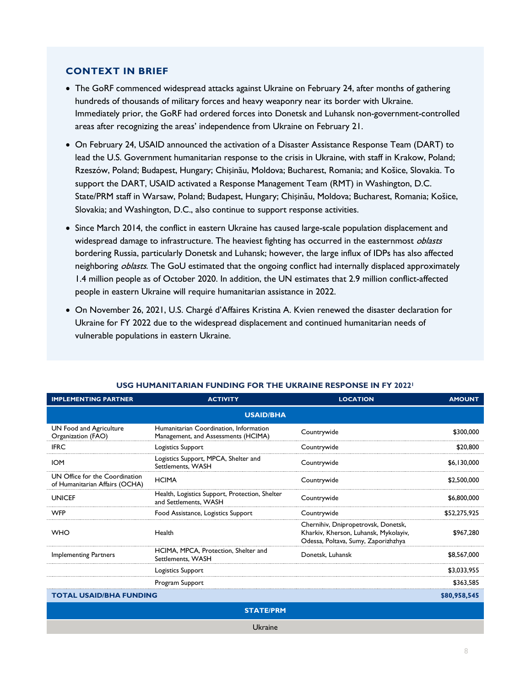#### **CONTEXT IN BRIEF**

- The GoRF commenced widespread attacks against Ukraine on February 24, after months of gathering hundreds of thousands of military forces and heavy weaponry near its border with Ukraine. Immediately prior, the GoRF had ordered forces into Donetsk and Luhansk non-government-controlled areas after recognizing the areas' independence from Ukraine on February 21.
- On February 24, USAID announced the activation of a Disaster Assistance Response Team (DART) to lead the U.S. Government humanitarian response to the crisis in Ukraine, with staff in Krakow, Poland; Rzeszów, Poland; Budapest, Hungary; Chișinău, Moldova; Bucharest, Romania; and Košice, Slovakia. To support the DART, USAID activated a Response Management Team (RMT) in Washington, D.C. State/PRM staff in Warsaw, Poland; Budapest, Hungary; Chișinău, Moldova; Bucharest, Romania; Košice, Slovakia; and Washington, D.C., also continue to support response activities.
- Since March 2014, the conflict in eastern Ukraine has caused large-scale population displacement and widespread damage to infrastructure. The heaviest fighting has occurred in the easternmost *oblasts* bordering Russia, particularly Donetsk and Luhansk; however, the large influx of IDPs has also affected neighboring *oblasts*. The GoU estimated that the ongoing conflict had internally displaced approximately 1.4 million people as of October 2020. In addition, the UN estimates that 2.9 million conflict-affected people in eastern Ukraine will require humanitarian assistance in 2022.
- On November 26, 2021, U.S. Chargé d'Affaires Kristina A. Kvien renewed the disaster declaration for Ukraine for FY 2022 due to the widespread displacement and continued humanitarian needs of vulnerable populations in eastern Ukraine.

| <b>IMPLEMENTING PARTNER</b>                                      | <b>ACTIVITY</b>                                                               | <b>LOCATION</b>                                                                                                     | <b>AMOUNT</b> |  |  |
|------------------------------------------------------------------|-------------------------------------------------------------------------------|---------------------------------------------------------------------------------------------------------------------|---------------|--|--|
| <b>USAID/BHA</b>                                                 |                                                                               |                                                                                                                     |               |  |  |
| UN Food and Agriculture<br>Organization (FAO)                    | Humanitarian Coordination, Information<br>Management, and Assessments (HCIMA) | Countrywide                                                                                                         | \$300,000     |  |  |
| <b>IFRC</b>                                                      | Logistics Support                                                             | Countrywide                                                                                                         | \$20,800      |  |  |
| <b>IOM</b>                                                       | Logistics Support, MPCA, Shelter and<br>Settlements, WASH                     | Countrywide                                                                                                         | \$6.130,000   |  |  |
| UN Office for the Coordination<br>of Humanitarian Affairs (OCHA) | <b>HCIMA</b>                                                                  | Countrywide                                                                                                         | \$2,500,000   |  |  |
| <b>UNICEF</b>                                                    | Health, Logistics Support, Protection, Shelter<br>and Settlements, WASH       | Countrywide                                                                                                         | \$6,800,000   |  |  |
| <b>WFP</b>                                                       | Food Assistance, Logistics Support                                            | Countrywide                                                                                                         | \$52,275,925  |  |  |
| <b>WHO</b>                                                       | Health                                                                        | Chernihiv, Dnipropetrovsk, Donetsk,<br>Kharkiv, Kherson, Luhansk, Mykolayiv,<br>Odessa, Poltava, Sumy, Zaporizhzhya | \$967,280     |  |  |
| <b>Implementing Partners</b>                                     | HCIMA, MPCA, Protection, Shelter and<br>Settlements, WASH                     | Donetsk, Luhansk                                                                                                    | \$8,567,000   |  |  |
|                                                                  | Logistics Support                                                             |                                                                                                                     | \$3,033,955   |  |  |
|                                                                  | Program Support                                                               |                                                                                                                     | \$363.585     |  |  |
| TOTAL USAID/BHA FUNDING                                          |                                                                               | \$80,958,545                                                                                                        |               |  |  |
| <b>STATE/PRM</b>                                                 |                                                                               |                                                                                                                     |               |  |  |

#### **USG HUMANITARIAN FUNDING FOR THE UKRAINE RESPONSE IN FY 20221**

Ukraine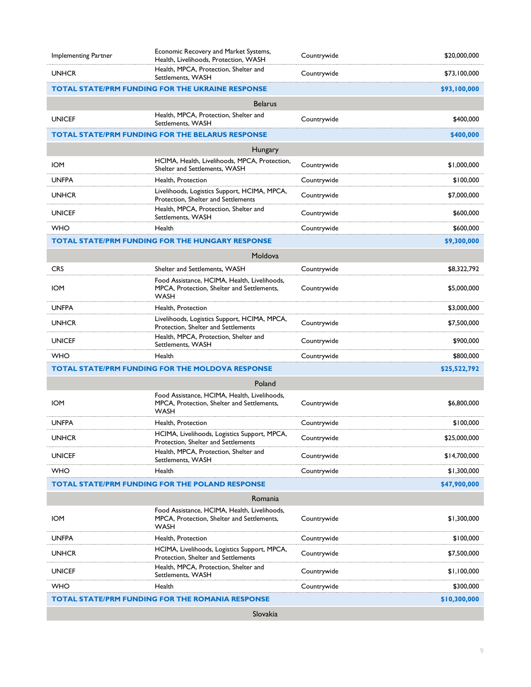| Implementing Partner | Economic Recovery and Market Systems,<br>Health, Livelihoods, Protection, WASH                     | Countrywide | \$20,000,000 |  |
|----------------------|----------------------------------------------------------------------------------------------------|-------------|--------------|--|
| <b>UNHCR</b>         | Health, MPCA, Protection, Shelter and<br>Settlements, WASH                                         | Countrywide | \$73,100,000 |  |
|                      | <b>TOTAL STATE/PRM FUNDING FOR THE UKRAINE RESPONSE</b>                                            |             | \$93,100,000 |  |
|                      | <b>Belarus</b>                                                                                     |             |              |  |
| <b>UNICEF</b>        | Health, MPCA, Protection, Shelter and<br>Settlements, WASH                                         | Countrywide | \$400,000    |  |
|                      | <b>TOTAL STATE/PRM FUNDING FOR THE BELARUS RESPONSE</b>                                            |             | \$400,000    |  |
|                      | Hungary                                                                                            |             |              |  |
| <b>IOM</b>           | HCIMA, Health, Livelihoods, MPCA, Protection,<br>Shelter and Settlements, WASH                     | Countrywide | \$1,000,000  |  |
| <b>UNFPA</b>         | Health, Protection                                                                                 | Countrywide | \$100,000    |  |
| <b>UNHCR</b>         | Livelihoods, Logistics Support, HCIMA, MPCA,<br>Protection, Shelter and Settlements                | Countrywide | \$7,000,000  |  |
| <b>UNICEF</b>        | Health, MPCA, Protection, Shelter and<br>Settlements, WASH                                         | Countrywide | \$600,000    |  |
| <b>WHO</b>           | Health                                                                                             | Countrywide | \$600,000    |  |
|                      | <b>TOTAL STATE/PRM FUNDING FOR THE HUNGARY RESPONSE</b>                                            |             | \$9,300,000  |  |
|                      | Moldova                                                                                            |             |              |  |
| <b>CRS</b>           | Shelter and Settlements, WASH                                                                      | Countrywide | \$8,322,792  |  |
| <b>IOM</b>           | Food Assistance, HCIMA, Health, Livelihoods,<br>MPCA. Protection. Shelter and Settlements.<br>WASH | Countrywide | \$5,000,000  |  |
| <b>UNFPA</b>         | Health, Protection                                                                                 |             | \$3,000,000  |  |
| <b>UNHCR</b>         | Livelihoods, Logistics Support, HCIMA, MPCA,<br>Protection, Shelter and Settlements                | Countrywide | \$7,500,000  |  |
| <b>UNICEF</b>        | Health, MPCA, Protection, Shelter and<br>Settlements, WASH                                         | Countrywide | \$900,000    |  |
| <b>WHO</b>           | Health                                                                                             | Countrywide | \$800,000    |  |
|                      | <b>TOTAL STATE/PRM FUNDING FOR THE MOLDOVA RESPONSE</b>                                            |             | \$25,522,792 |  |
|                      | Poland                                                                                             |             |              |  |
| <b>IOM</b>           | Food Assistance, HCIMA, Health, Livelihoods,<br>MPCA, Protection, Shelter and Settlements,<br>WASH | Countrywide | \$6,800,000  |  |
| <b>UNFPA</b>         | Health, Protection                                                                                 | Countrywide | \$100,000    |  |
| <b>UNHCR</b>         | HCIMA, Livelihoods, Logistics Support, MPCA<br>Protection, Shelter and Settlements                 | Countrywide | \$25,000,000 |  |
| <b>UNICEF</b>        | Health, MPCA, Protection, Shelter and<br>Settlements, WASH                                         | Countrywide | \$14,700,000 |  |
| WHO                  | Health                                                                                             | Countrywide | \$1,300,000  |  |
|                      | <b>TOTAL STATE/PRM FUNDING FOR THE POLAND RESPONSE</b>                                             |             | \$47,900,000 |  |
|                      | Romania                                                                                            |             |              |  |
| <b>IOM</b>           | Food Assistance, HCIMA, Health, Livelihoods,<br>MPCA, Protection, Shelter and Settlements,<br>WASH | Countrywide | \$1,300,000  |  |
| <b>UNFPA</b>         | Health, Protection                                                                                 | Countrywide | \$100,000    |  |
| <b>UNHCR</b>         | HCIMA, Livelihoods, Logistics Support, MPCA,<br>Protection, Shelter and Settlements                | Countrywide | \$7,500,000  |  |
| <b>UNICEF</b>        | Health, MPCA, Protection, Shelter and<br>Settlements, WASH                                         | Countrywide | \$1,100,000  |  |
| WHO                  | Health                                                                                             | Countrywide | \$300,000    |  |
|                      | TOTAL STATE/PRM FUNDING FOR THE ROMANIA RESPONSE                                                   |             | \$10,300,000 |  |
| Slovakia             |                                                                                                    |             |              |  |